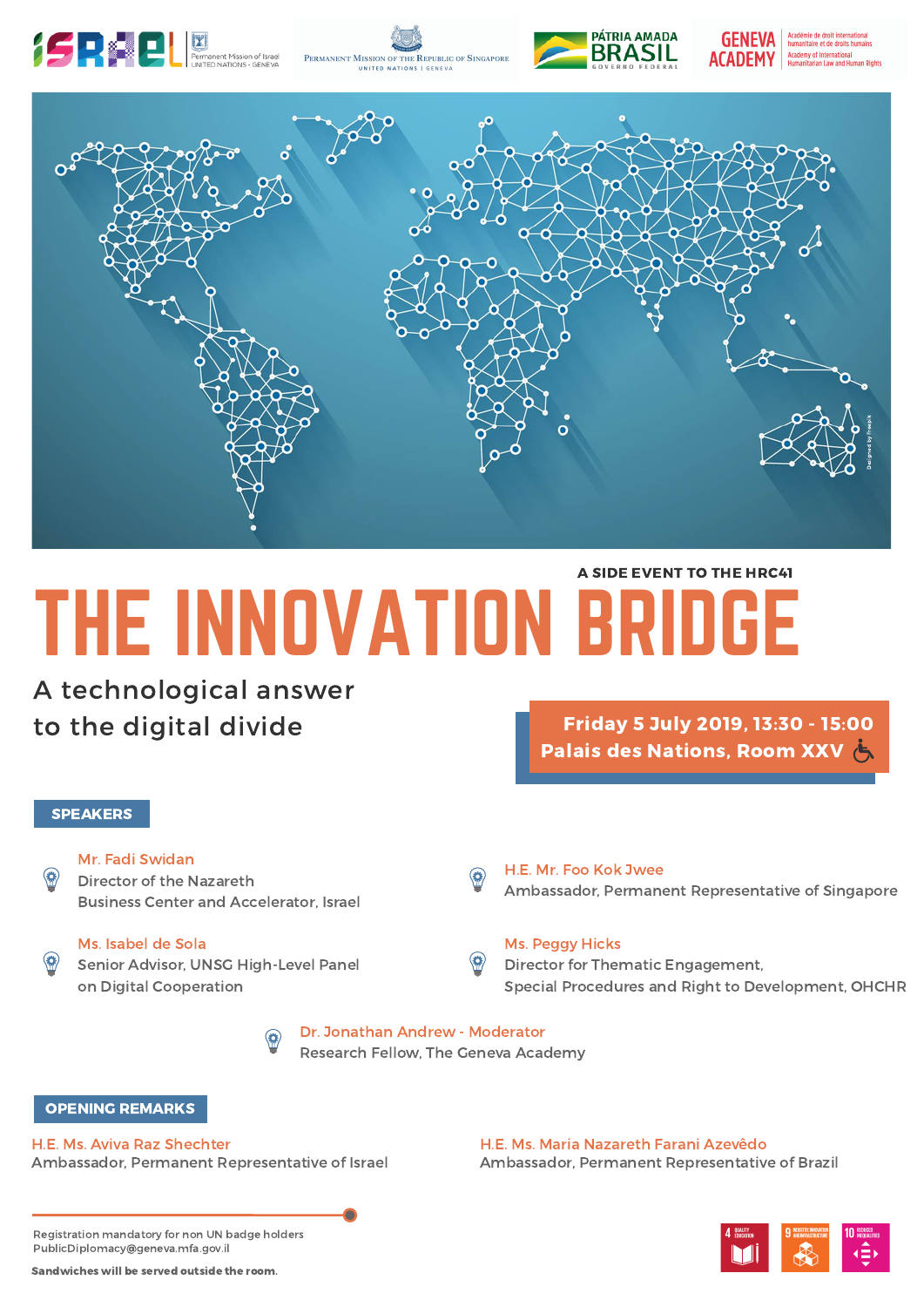









# THE INNOVATION BRIDGE A SIDE EVENT TO THE HRC41

A technological answer to the digital divide

## **SPEAKERS**

Mr. Fadi Swidan

Director of the Nazareth Business Center and Accelerator, Israel

## Ms. Isabel de Sola

Senior Advisor, UNSG High-Level Panel on Digital Cooperation

Friday 5 July 2019, 13:30 - 15:00 **Palais des Nations, Room XXV (5)** 

## H.E. Mr. Foo Kok Jwee

Ambassador, Permanent Representative of Singapore

## Ms. Peggy Hicks

Director for Thematic Engagement, Special Procedures and Right to Development, OHCHR

Dr. Jonathan Andrew - Moderator Research Fellow, The Geneva Academy

## OPENING REMARKS

H.E. Ms. Aviva Raz Shechter Ambassador, Permanent Representative of Israel

H.E. Ms. Maria Nazareth Farani Azevêdo Ambassador, Permanent Representative of Brazil

Registration mandatory for non UN badge holders PublicDiplomacy@geneva.mfa.gov.il

Sandwiches will be served outside the room.